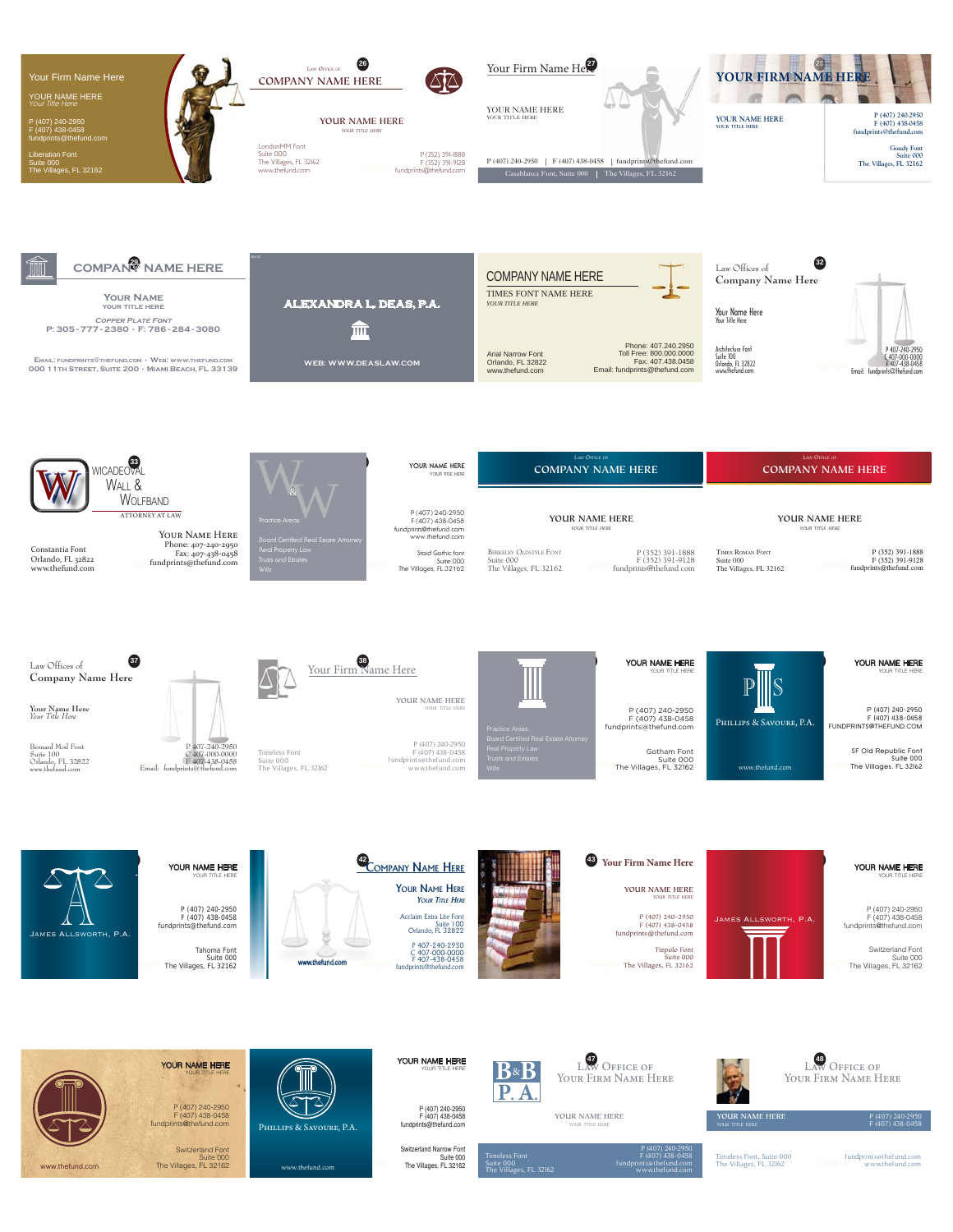

Switzerland Font

Suite 000 The Villages, FL 32162



Tahoma Font Suite 000 The Villages, FL 32162



P (407) 240-2950 F (407) 438-0458 fundprints@thefund.com

Switzerland Narrow Font Suite 000 The Villages, FL 32162

Timeless Font Suite 000 The Villages, FL 32162



P (407) 240-2950 F (407) 438-0458 fundprints@thefund.com

www.thefund.com

Timeless Font, Suite 000 The Villages, FL 32162

**YOUR NAME HERE** *YOUR TITLE HERE*

sample fundprints@thefund.com www.thefund.com

H

P (407) 240-2950 F (407) 438-0458

**48** L- O

Y F  $\overline{N}$